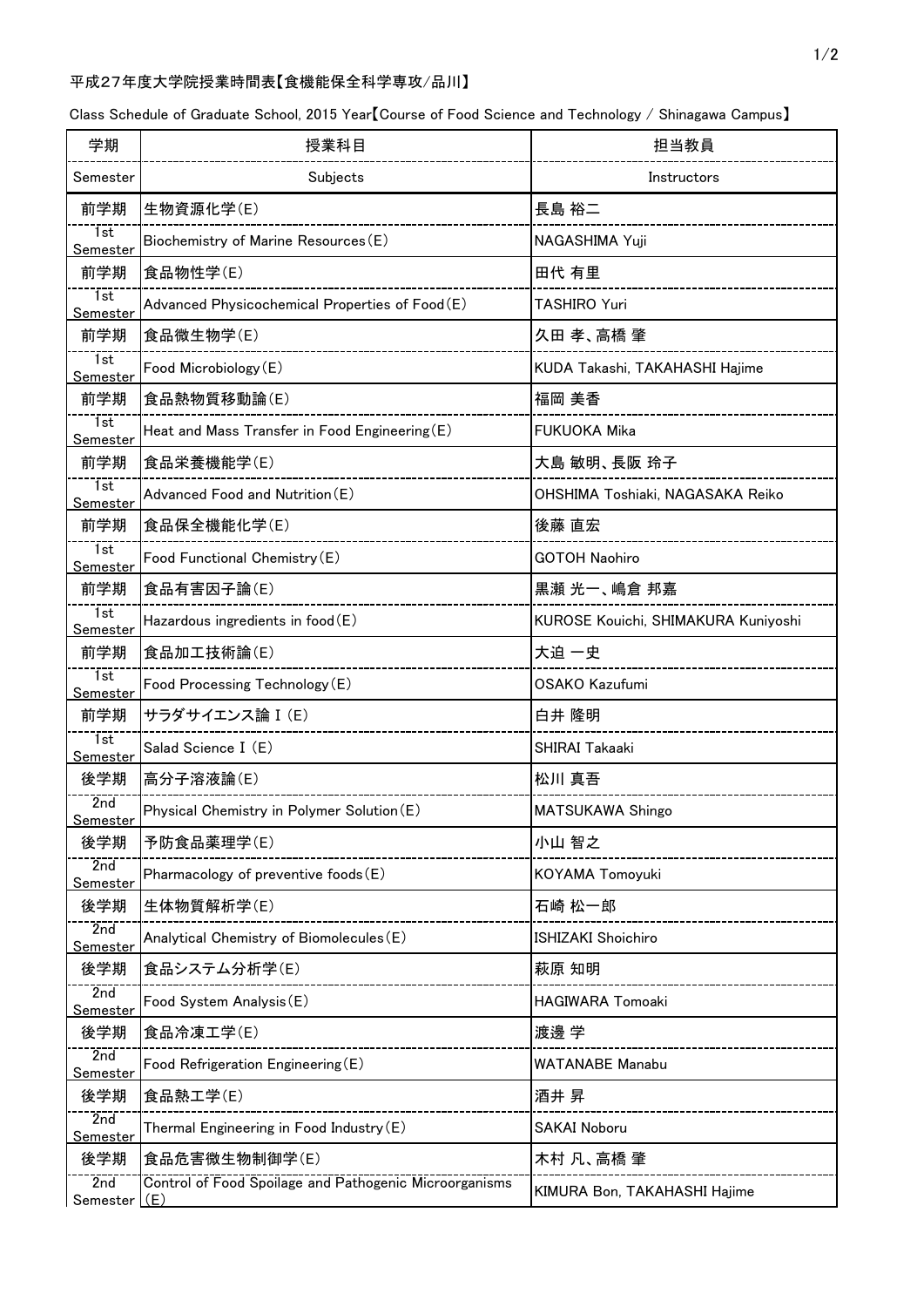## 平成27年度大学院授業時間表【食機能保全科学専攻/品川】

Class Schedule of Graduate School, 2015 Year【Course of Food Science and Technology / Shinagawa Campus】

| 学期                           | 授業科目                                                          | 担当教員                                |
|------------------------------|---------------------------------------------------------------|-------------------------------------|
| Semester                     | Subjects                                                      | Instructors                         |
| 前学期                          | 生物資源化学(E)                                                     | 長島 裕二                               |
| 1st<br>Semester              | Biochemistry of Marine Resources (E)                          | NAGASHIMA Yuji                      |
| 前学期                          | 食品物性学(E)                                                      | 田代 有里                               |
| 1st<br>Semester              | Advanced Physicochemical Properties of Food(E)                | TASHIRO Yuri                        |
| 前学期                          | 食品微生物学(E)                                                     | 久田 孝、高橋 肇                           |
| 1st<br>Semester              | Food Microbiology (E)                                         | KUDA Takashi, TAKAHASHI Hajime      |
| 前学期                          | 食品熱物質移動論(E)                                                   | 福岡 美香                               |
| $\overline{1st}$<br>Semester | Heat and Mass Transfer in Food Engineering (E)                | <b>FUKUOKA Mika</b>                 |
| 前学期                          | 食品栄養機能学(E)                                                    | 大島 敏明、長阪 玲子                         |
| 1st<br>Semester              | Advanced Food and Nutrition (E)                               | OHSHIMA Toshiaki, NAGASAKA Reiko    |
| 前学期                          | 食品保全機能化学(E)                                                   | 後藤 直宏                               |
| 1st<br>Semester              | Food Functional Chemistry (E)                                 | <b>GOTOH Naohiro</b>                |
| 前学期                          | 食品有害因子論(E)                                                    | 黒瀬 光一、嶋倉 邦嘉                         |
| 1st<br>Semester              | Hazardous ingredients in food(E)                              | KUROSE Kouichi, SHIMAKURA Kuniyoshi |
| 前学期                          | 食品加工技術論(E)                                                    | 大迫 一史                               |
| 1st<br>Semester              | Food Processing Technology (E)                                | <b>OSAKO Kazufumi</b>               |
| 前学期                          | サラダサイエンス論 I (E)                                               | 白井 隆明                               |
| Tst<br><b>Semester</b>       | Salad Science I (E)                                           | SHIRAI Takaaki                      |
| 後学期                          | 高分子溶液論(E)                                                     | 松川 真吾                               |
| 2nd<br>Semester              | Physical Chemistry in Polymer Solution (E)                    | MATSUKAWA Shingo                    |
| 後学期                          | 予防食品薬理学(E)                                                    | 小山 智之                               |
| 2nd<br>Semester              | Pharmacology of preventive foods (E)                          | KOYAMA Tomoyuki                     |
| 後学期                          | 生体物質解析学(E)                                                    | 石崎 松一郎                              |
| 2nd<br><u>Semester</u>       | Analytical Chemistry of Biomolecules (E)                      | ISHIZAKI Shoichiro                  |
| 後学期                          | 食品システム分析学(E)                                                  | 萩原 知明                               |
| 2nd<br><u>Semester</u>       | Food System Analysis (E)                                      | <b>HAGIWARA Tomoaki</b>             |
| 後学期                          | 食品冷凍工学(E)                                                     | 渡邊 学                                |
| 2nd<br><u>Semester</u>       | Food Refrigeration Engineering (E)                            | <b>WATANABE Manabu</b>              |
| 後学期                          | 食品熱工学(E)                                                      | 酒井 昇                                |
| 2nd<br>Semester              | Thermal Engineering in Food Industry (E)                      | <b>SAKAI Noboru</b>                 |
| 後学期                          | 食品危害微生物制御学(E)                                                 | 木村 凡、高橋 肇                           |
| 2nd<br>Semester              | Control of Food Spoilage and Pathogenic Microorganisms<br>(E) | KIMURA Bon, TAKAHASHI Hajime        |